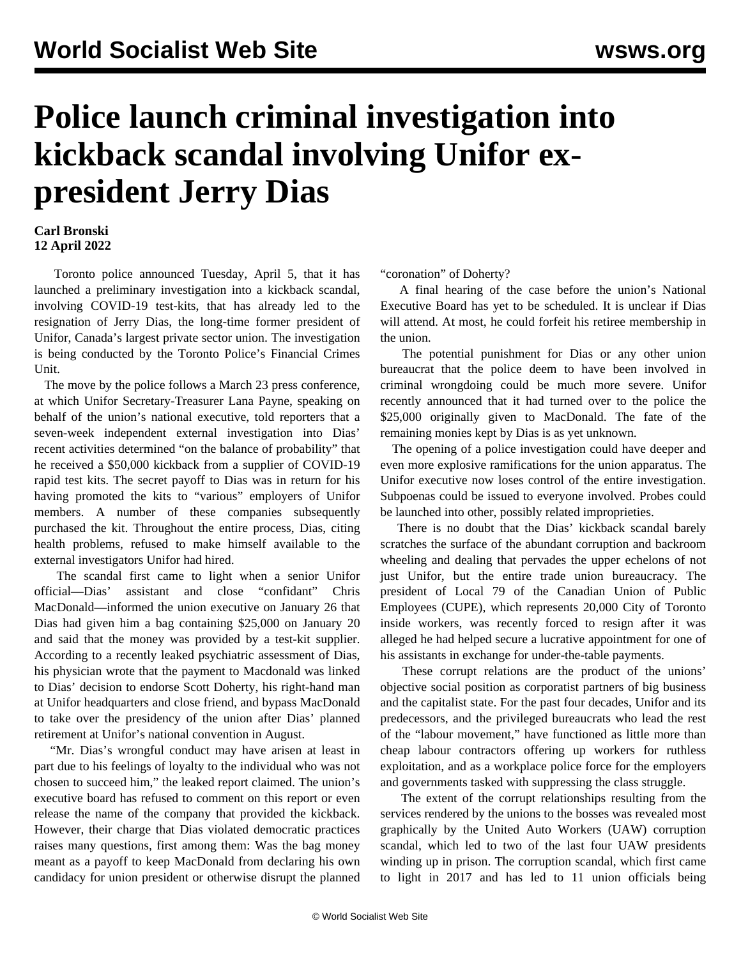## **Police launch criminal investigation into kickback scandal involving Unifor expresident Jerry Dias**

## **Carl Bronski 12 April 2022**

 Toronto police announced Tuesday, April 5, that it has launched a preliminary investigation into a kickback scandal, involving COVID-19 test-kits, that has already led to the resignation of Jerry Dias, the long-time former president of Unifor, Canada's largest private sector union. The investigation is being conducted by the Toronto Police's Financial Crimes Unit.

 The move by the police follows a March 23 press conference, at which Unifor Secretary-Treasurer Lana Payne, speaking on behalf of the union's national executive, told reporters that a seven-week independent external investigation into Dias' recent activities determined "on the balance of probability" that he received a \$50,000 kickback from a supplier of COVID-19 rapid test kits. The secret payoff to Dias was in return for his having promoted the kits to "various" employers of Unifor members. A number of these companies subsequently purchased the kit. Throughout the entire process, Dias, citing health problems, refused to make himself available to the external investigators Unifor had hired.

 The scandal first came to light when a senior Unifor official—Dias' assistant and close "confidant" Chris MacDonald—informed the union executive on January 26 that Dias had given him a bag containing \$25,000 on January 20 and said that the money was provided by a test-kit supplier. According to a recently leaked psychiatric assessment of Dias, his physician wrote that the payment to Macdonald was linked to Dias' decision to endorse Scott Doherty, his right-hand man at Unifor headquarters and close friend, and bypass MacDonald to take over the presidency of the union after Dias' planned retirement at Unifor's national convention in August.

 "Mr. Dias's wrongful conduct may have arisen at least in part due to his feelings of loyalty to the individual who was not chosen to succeed him," the leaked report claimed. The union's executive board has refused to comment on this report or even release the name of the company that provided the kickback. However, their charge that Dias violated democratic practices raises many questions, first among them: Was the bag money meant as a payoff to keep MacDonald from declaring his own candidacy for union president or otherwise disrupt the planned

"coronation" of Doherty?

 A final hearing of the case before the union's National Executive Board has yet to be scheduled. It is unclear if Dias will attend. At most, he could forfeit his retiree membership in the union.

 The potential punishment for Dias or any other union bureaucrat that the police deem to have been involved in criminal wrongdoing could be much more severe. Unifor recently announced that it had turned over to the police the \$25,000 originally given to MacDonald. The fate of the remaining monies kept by Dias is as yet unknown.

 The opening of a police investigation could have deeper and even more explosive ramifications for the union apparatus. The Unifor executive now loses control of the entire investigation. Subpoenas could be issued to everyone involved. Probes could be launched into other, possibly related improprieties.

 There is no doubt that the Dias' kickback scandal barely scratches the surface of the abundant corruption and backroom wheeling and dealing that pervades the upper echelons of not just Unifor, but the entire trade union bureaucracy. The president of Local 79 of the Canadian Union of Public Employees (CUPE), which represents 20,000 City of Toronto inside workers, was recently forced to resign after it was alleged he had helped secure a lucrative appointment for one of his assistants in exchange for under-the-table payments.

 These corrupt relations are the product of the unions' objective social position as corporatist partners of big business and the capitalist state. For the past four decades, Unifor and its predecessors, and the privileged bureaucrats who lead the rest of the "labour movement," have functioned as little more than cheap labour contractors offering up workers for ruthless exploitation, and as a workplace police force for the employers and governments tasked with suppressing the class struggle.

 The extent of the corrupt relationships resulting from the services rendered by the unions to the bosses was revealed most graphically by the United Auto Workers (UAW) corruption scandal, which led to two of the last four UAW presidents winding up in prison. The corruption scandal, which first came to light in 2017 and has led to 11 union officials being